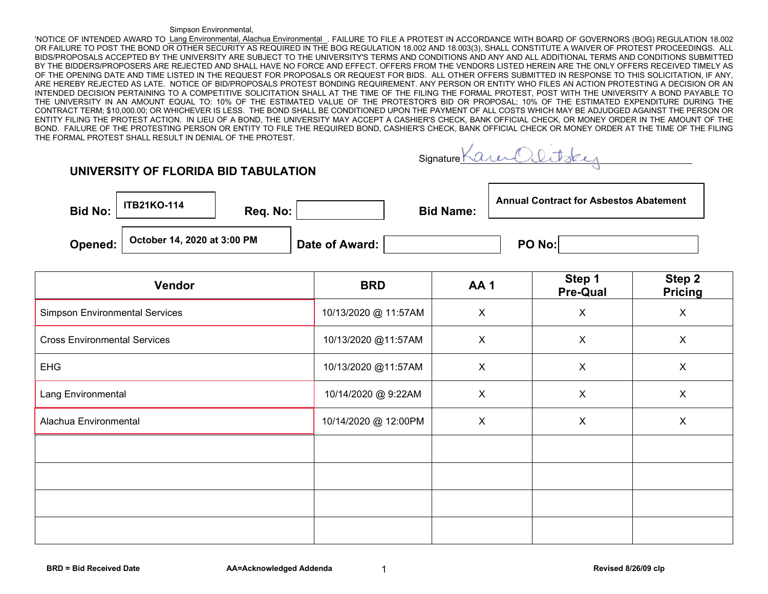## Simpson Environmental,

'NOTICE OF INTENDED AWARD TO <u>Lang Environmental, Alachua Environmental</u>,FAILURE TO FILE A PROTEST IN ACCORDANCE WITH BOARD OF GOVERNORS (BOG) REGULATION 18.002 OR FAILURE TO POST THE BOND OR OTHER SECURITY AS REQUIRED IN THE BOG REGULATION 18.002 AND 18.003(3), SHALL CONSTITUTE A WAIVER OF PROTEST PROCEEDINGS. ALL BIDS/PROPOSALS ACCEPTED BY THE UNIVERSITY ARE SUBJECT TO THE UNIVERSITY'S TERMS AND CONDITIONS AND ANY AND ALL ADDITIONAL TERMS AND CONDITIONS SUBMITTED BY THE BIDDERS/PROPOSERS ARE REJECTED AND SHALL HAVE NO FORCE AND EFFECT. OFFERS FROM THE VENDORS LISTED HEREIN ARE THE ONLY OFFERS RECEIVED TIMELY AS OF THE OPENING DATE AND TIME LISTED IN THE REQUEST FOR PROPOSALS OR REQUEST FOR BIDS. ALL OTHER OFFERS SUBMITTED IN RESPONSE TO THIS SOLICITATION. IF ANY, ARE HEREBY REJECTED AS LATE. NOTICE OF BID/PROPOSALS PROTEST BONDING REQUIREMENT. ANY PERSON OR ENTITY WHO FILES AN ACTION PROTESTING A DECISION OR AN INTENDED DECISION PERTAINING TO A COMPETITIVE SOLICITATION SHALL AT THE TIME OF THE FILING THE FORMAL PROTEST, POST WITH THE UNIVERSITY A BOND PAYABLE TO THE UNIVERSITY IN AN AMOUNT EQUAL TO: 10% OF THE ESTIMATED VALUE OF THE PROTESTOR'S BID OR PROPOSAL; 10% OF THE ESTIMATED EXPENDITURE DURING THE CONTRACT TERM; \$10,000.00; OR WHICHEVER IS LESS. THE BOND SHALL BE CONDITIONED UPON THE PAYMENT OF ALL COSTS WHICH MAY BE ADJUDGED AGAINST THE PERSON OR ENTITY FILING THE PROTEST ACTION. IN LIEU OF A BOND, THE UNIVERSITY MAY ACCEPT A CASHIER'S CHECK, BANK OFFICIAL CHECK, OR MONEY ORDER IN THE AMOUNT OF THE BOND. FAILURE OF THE PROTESTING PERSON OR ENTITY TO FILE THE REQUIRED BOND, CASHIER'S CHECK, BANK OFFICIAL CHECK OR MONEY ORDER AT THE TIME OF THE FILING THE FORMAL PROTEST SHALL RESULT IN DENIAL OF THE PROTEST.

| Signature KQ | $74\mu(2)$ |  |
|--------------|------------|--|
|              |            |  |

## **UNIVERSITY OF FLORIDA BID TABULATION**

| <b>Bid No:</b> | <b>ITB21KO-114</b>          | Reg. No: |                | <b>Bid Name:</b> | <b>Annual Contract for Asbestos Abatement</b> |  |
|----------------|-----------------------------|----------|----------------|------------------|-----------------------------------------------|--|
| Opened:        | October 14, 2020 at 3:00 PM |          | Date of Award: |                  | PO No:                                        |  |

| Vendor                                | <b>BRD</b>           | AA1            | Step 1<br><b>Pre-Qual</b> | Step 2<br><b>Pricing</b> |
|---------------------------------------|----------------------|----------------|---------------------------|--------------------------|
| <b>Simpson Environmental Services</b> | 10/13/2020 @ 11:57AM | $\pmb{\times}$ | $\mathsf X$               | X                        |
| <b>Cross Environmental Services</b>   | 10/13/2020 @11:57AM  | X              | $\mathsf X$               | X                        |
| <b>EHG</b>                            | 10/13/2020 @11:57AM  | $\mathsf{X}$   | X                         | X                        |
| Lang Environmental                    | 10/14/2020 @ 9:22AM  | $\mathsf{X}$   | $\boldsymbol{\mathsf{X}}$ | X                        |
| Alachua Environmental                 | 10/14/2020 @ 12:00PM | $\mathsf{X}$   | $\boldsymbol{\mathsf{X}}$ | $\mathsf{X}$             |
|                                       |                      |                |                           |                          |
|                                       |                      |                |                           |                          |
|                                       |                      |                |                           |                          |
|                                       |                      |                |                           |                          |